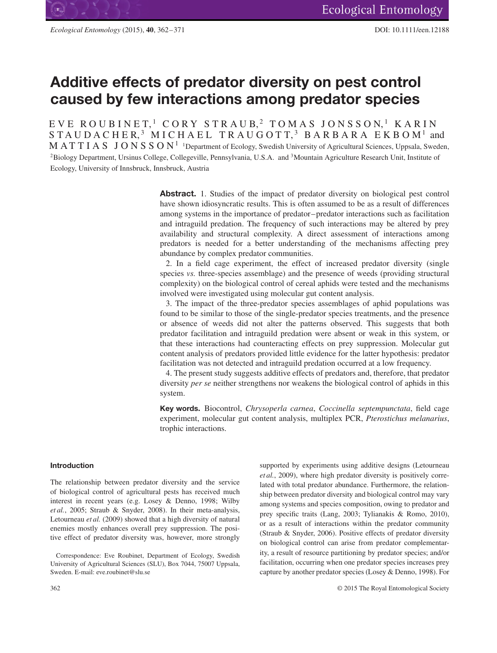# **Additive effects of predator diversity on pest control caused by few interactions among predator species**

EVE ROUBINET,<sup>1</sup> CORY STRAUB,<sup>2</sup> TOMAS JONSSON,<sup>1</sup> KARIN STAUDACHER,<sup>3</sup> MICHAEL TRAUGOTT,<sup>3</sup> BARBARA EKBOM<sup>1</sup> and MATTIAS JONSSON<sup>1</sup><sup>1</sup>Department of Ecology, Swedish University of Agricultural Sciences, Uppsala, Sweden, 2Biology Department, Ursinus College, Collegeville, Pennsylvania, U.S.A. and 3Mountain Agriculture Research Unit, Institute of Ecology, University of Innsbruck, Innsbruck, Austria

> **Abstract.** 1. Studies of the impact of predator diversity on biological pest control have shown idiosyncratic results. This is often assumed to be as a result of differences among systems in the importance of predator–predator interactions such as facilitation and intraguild predation. The frequency of such interactions may be altered by prey availability and structural complexity. A direct assessment of interactions among predators is needed for a better understanding of the mechanisms affecting prey abundance by complex predator communities.

> 2. In a field cage experiment, the effect of increased predator diversity (single species *vs.* three-species assemblage) and the presence of weeds (providing structural complexity) on the biological control of cereal aphids were tested and the mechanisms involved were investigated using molecular gut content analysis.

> 3. The impact of the three-predator species assemblages of aphid populations was found to be similar to those of the single-predator species treatments, and the presence or absence of weeds did not alter the patterns observed. This suggests that both predator facilitation and intraguild predation were absent or weak in this system, or that these interactions had counteracting effects on prey suppression. Molecular gut content analysis of predators provided little evidence for the latter hypothesis: predator facilitation was not detected and intraguild predation occurred at a low frequency.

> 4. The present study suggests additive effects of predators and, therefore, that predator diversity *per se* neither strengthens nor weakens the biological control of aphids in this system.

> **Key words.** Biocontrol, *Chrysoperla carnea*, *Coccinella septempunctata*, field cage experiment, molecular gut content analysis, multiplex PCR, *Pterostichus melanarius*, trophic interactions.

# **Introduction**

The relationship between predator diversity and the service of biological control of agricultural pests has received much interest in recent years (e.g. Losey & Denno, 1998; Wilby *et al.*, 2005; Straub & Snyder, 2008). In their meta-analysis, Letourneau *et al.* (2009) showed that a high diversity of natural enemies mostly enhances overall prey suppression. The positive effect of predator diversity was, however, more strongly supported by experiments using additive designs (Letourneau *et al.*, 2009), where high predator diversity is positively correlated with total predator abundance. Furthermore, the relationship between predator diversity and biological control may vary among systems and species composition, owing to predator and prey specific traits (Lang, 2003; Tylianakis & Romo, 2010), or as a result of interactions within the predator community (Straub & Snyder, 2006). Positive effects of predator diversity on biological control can arise from predator complementarity, a result of resource partitioning by predator species; and/or facilitation, occurring when one predator species increases prey capture by another predator species (Losey & Denno, 1998). For

Correspondence: Eve Roubinet, Department of Ecology, Swedish University of Agricultural Sciences (SLU), Box 7044, 75007 Uppsala, Sweden. E-mail: eve.roubinet@slu.se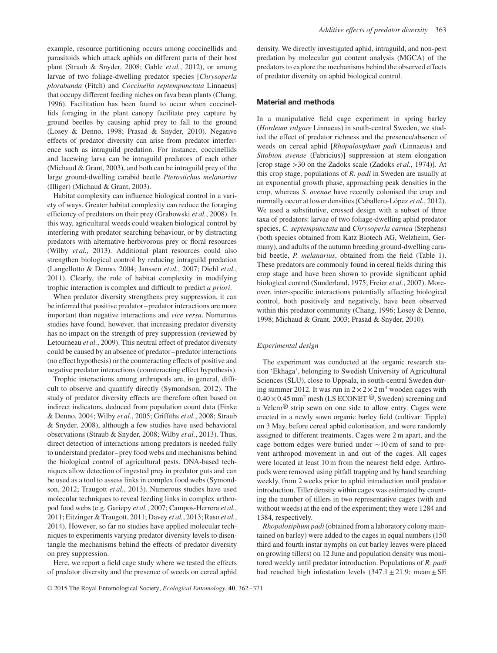example, resource partitioning occurs among coccinellids and parasitoids which attack aphids on different parts of their host plant (Straub & Snyder, 2008; Gable *et al.*, 2012), or among larvae of two foliage-dwelling predator species [*Chrysoperla plorabunda* (Fitch) and *Coccinella septempunctata* Linnaeus] that occupy different feeding niches on fava bean plants (Chang, 1996). Facilitation has been found to occur when coccinellids foraging in the plant canopy facilitate prey capture by ground beetles by causing aphid prey to fall to the ground (Losey & Denno, 1998; Prasad & Snyder, 2010). Negative effects of predator diversity can arise from predator interference such as intraguild predation. For instance, coccinellids and lacewing larva can be intraguild predators of each other (Michaud & Grant, 2003), and both can be intraguild prey of the large ground-dwelling carabid beetle *Pterostichus melanarius* (Illiger) (Michaud & Grant, 2003).

Habitat complexity can influence biological control in a variety of ways. Greater habitat complexity can reduce the foraging efficiency of predators on their prey (Grabowski *et al.*, 2008). In this way, agricultural weeds could weaken biological control by interfering with predator searching behaviour, or by distracting predators with alternative herbivorous prey or floral resources (Wilby *et al.*, 2013). Additional plant resources could also strengthen biological control by reducing intraguild predation (Langellotto & Denno, 2004; Janssen *et al.*, 2007; Diehl *et al.*, 2011). Clearly, the role of habitat complexity in modifying trophic interaction is complex and difficult to predict *a priori*.

When predator diversity strengthens prey suppression, it can be inferred that positive predator–predator interactions are more important than negative interactions and *vice versa*. Numerous studies have found, however, that increasing predator diversity has no impact on the strength of prey suppression (reviewed by Letourneau *et al.*, 2009). This neutral effect of predator diversity could be caused by an absence of predator–predator interactions (no effect hypothesis) or the counteracting effects of positive and negative predator interactions (counteracting effect hypothesis).

Trophic interactions among arthropods are, in general, difficult to observe and quantify directly (Symondson, 2012). The study of predator diversity effects are therefore often based on indirect indicators, deduced from population count data (Finke & Denno, 2004; Wilby *et al.*, 2005; Griffiths *et al.*, 2008; Straub & Snyder, 2008), although a few studies have used behavioral observations (Straub & Snyder, 2008; Wilby *et al.*, 2013). Thus, direct detection of interactions among predators is needed fully to understand predator–prey food webs and mechanisms behind the biological control of agricultural pests. DNA-based techniques allow detection of ingested prey in predator guts and can be used as a tool to assess links in complex food webs (Symondson, 2012; Traugott *et al.*, 2013). Numerous studies have used molecular techniques to reveal feeding links in complex arthropod food webs (e.g. Gariepy *et al.*, 2007; Campos-Herrera *et al.*, 2011; Eitzinger & Traugott, 2011; Davey *et al.*, 2013; Raso *et al.*, 2014). However, so far no studies have applied molecular techniques to experiments varying predator diversity levels to disentangle the mechanisms behind the effects of predator diversity on prey suppression.

Here, we report a field cage study where we tested the effects of predator diversity and the presence of weeds on cereal aphid density. We directly investigated aphid, intraguild, and non-pest predation by molecular gut content analysis (MGCA) of the predators to explore the mechanisms behind the observed effects of predator diversity on aphid biological control.

### **Material and methods**

In a manipulative field cage experiment in spring barley (*Hordeum vulgare* Linnaeus) in south-central Sweden, we studied the effect of predator richness and the presence/absence of weeds on cereal aphid [*Rhopalosiphum padi* (Linnaeus) and *Sitobion avenae* (Fabricius)] suppression at stem elongation [crop stage *>*30 on the Zadoks scale (Zadoks *et al.*, 1974)]. At this crop stage, populations of *R. padi* in Sweden are usually at an exponential growth phase, approaching peak densities in the crop, whereas *S. avenae* have recently colonised the crop and normally occur at lower densities (Caballero-López *et al.*, 2012). We used a substitutive, crossed design with a subset of three taxa of predators: larvae of two foliage-dwelling aphid predator species, *C. septempunctata* and *Chrysoperla carnea* (Stephens) (both species obtained from Katz Biotech AG, Welzheim, Germany), and adults of the autumn breeding ground-dwelling carabid beetle, *P. melanarius*, obtained from the field (Table 1). These predators are commonly found in cereal fields during this crop stage and have been shown to provide significant aphid biological control (Sunderland, 1975; Freier *et al.*, 2007). Moreover, inter-specific interactions potentially affecting biological control, both positively and negatively, have been observed within this predator community (Chang, 1996; Losey & Denno, 1998; Michaud & Grant, 2003; Prasad & Snyder, 2010).

#### *Experimental design*

The experiment was conducted at the organic research station 'Ekhaga', belonging to Swedish University of Agricultural Sciences (SLU), close to Uppsala, in south-central Sweden during summer 2012. It was run in  $2 \times 2 \times 2$  m<sup>3</sup> wooden cages with  $0.40 \times 0.45$  mm<sup>2</sup> mesh (LS ECONET <sup>®</sup>, Sweden) screening and a Velcro® strip sewn on one side to allow entry. Cages were erected in a newly sown organic barley field (cultivar: Tipple) on 3 May, before cereal aphid colonisation, and were randomly assigned to different treatments. Cages were 2 m apart, and the cage bottom edges were buried under ∼10 cm of sand to prevent arthropod movement in and out of the cages. All cages were located at least 10 m from the nearest field edge. Arthropods were removed using pitfall trapping and by hand searching weekly, from 2 weeks prior to aphid introduction until predator introduction. Tiller density within cages was estimated by counting the number of tillers in two representative cages (with and without weeds) at the end of the experiment; they were 1284 and 1384, respectively.

*Rhopalosiphum padi* (obtained from a laboratory colony maintained on barley) were added to the cages in equal numbers (150 third and fourth instar nymphs on cut barley leaves were placed on growing tillers) on 12 June and population density was monitored weekly until predator introduction. Populations of *R. padi* had reached high infestation levels  $(347.1 \pm 21.9)$ ; mean  $\pm$  SE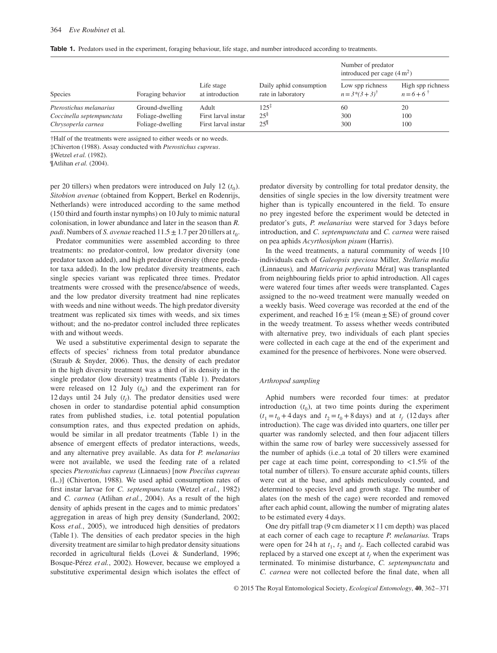| <b>Table 1.</b> Predators used in the experiment, foraging behaviour, life stage, and number introduced according to treatments. |  |
|----------------------------------------------------------------------------------------------------------------------------------|--|
|----------------------------------------------------------------------------------------------------------------------------------|--|

| Species                                                                    | Foraging behavior                                       | Life stage<br>at introduction                       |                                                 | Number of predator<br>introduced per cage $(4 \text{ m}^2)$ |                                               |
|----------------------------------------------------------------------------|---------------------------------------------------------|-----------------------------------------------------|-------------------------------------------------|-------------------------------------------------------------|-----------------------------------------------|
|                                                                            |                                                         |                                                     | Daily aphid consumption<br>rate in laboratory   | Low spp richness<br>$n = 3*(3 + 3)^{\dagger}$               | High spp richness<br>$n = 6 + 6$ <sup>†</sup> |
| Pterostichus melanarius<br>Coccinella septempunctata<br>Chrysoperla carnea | Ground-dwelling<br>Foliage-dwelling<br>Foliage-dwelling | Adult<br>First larval instar<br>First larval instar | $125^{x}$<br>$25^{\frac{8}{3}}$<br>$25^{\circ}$ | 60<br>300<br>300                                            | 20<br>100<br>100                              |

†Half of the treatments were assigned to either weeds or no weeds.

‡Chiverton (1988). Assay conducted with *Pterostichus cupreus*.

§Wetzel *et al.* (1982).

¶Atlihan *et al.* (2004).

per 20 tillers) when predators were introduced on July 12  $(t_0)$ . *Sitobion avenae* (obtained from Koppert, Berkel en Rodenrijs, Netherlands) were introduced according to the same method (150 third and fourth instar nymphs) on 10 July to mimic natural colonisation, in lower abundance and later in the season than *R. padi*. Numbers of *S. avenae* reached  $11.5 \pm 1.7$  per 20 tillers at  $t_0$ .

Predator communities were assembled according to three treatments: no predator-control, low predator diversity (one predator taxon added), and high predator diversity (three predator taxa added). In the low predator diversity treatments, each single species variant was replicated three times. Predator treatments were crossed with the presence/absence of weeds, and the low predator diversity treatment had nine replicates with weeds and nine without weeds. The high predator diversity treatment was replicated six times with weeds, and six times without; and the no-predator control included three replicates with and without weeds.

We used a substitutive experimental design to separate the effects of species' richness from total predator abundance (Straub & Snyder, 2006). Thus, the density of each predator in the high diversity treatment was a third of its density in the single predator (low diversity) treatments (Table 1). Predators were released on 12 July  $(t_0)$  and the experiment ran for 12 days until 24 July  $(t_f)$ . The predator densities used were chosen in order to standardise potential aphid consumption rates from published studies, i.e. total potential population consumption rates, and thus expected predation on aphids, would be similar in all predator treatments (Table 1) in the absence of emergent effects of predator interactions, weeds, and any alternative prey available. As data for *P. melanarius* were not available, we used the feeding rate of a related species *Pterostichus cupreus* (Linnaeus) [now *Poecilus cupreus* (L.)] (Chiverton, 1988)*.* We used aphid consumption rates of first instar larvae for *C. septempunctata* (Wetzel *et al.*, 1982) and *C. carnea* (Atlihan *et al.*, 2004). As a result of the high density of aphids present in the cages and to mimic predators' aggregation in areas of high prey density (Sunderland, 2002; Koss *et al.*, 2005), we introduced high densities of predators (Table 1). The densities of each predator species in the high diversity treatment are similar to high predator density situations recorded in agricultural fields (Lovei & Sunderland, 1996; Bosque-Pérez *et al.*, 2002). However, because we employed a substitutive experimental design which isolates the effect of predator diversity by controlling for total predator density, the densities of single species in the low diversity treatment were higher than is typically encountered in the field. To ensure no prey ingested before the experiment would be detected in predator's guts, *P. melanarius* were starved for 3 days before introduction, and *C. septempunctata* and *C. carnea* were raised on pea aphids *Acyrthosiphon pisum* (Harris).

In the weed treatments, a natural community of weeds [10 individuals each of *Galeopsis speciosa* Miller*, Stellaria media* (Linnaeus)*,* and *Matricaria perforata* Mérat] was transplanted from neighbouring fields prior to aphid introduction. All cages were watered four times after weeds were transplanted. Cages assigned to the no-weed treatment were manually weeded on a weekly basis. Weed coverage was recorded at the end of the experiment, and reached  $16 \pm 1\%$  (mean  $\pm$  SE) of ground cover in the weedy treatment. To assess whether weeds contributed with alternative prey, two individuals of each plant species were collected in each cage at the end of the experiment and examined for the presence of herbivores. None were observed.

### *Arthropod sampling*

Aphid numbers were recorded four times: at predator introduction  $(t_0)$ , at two time points during the experiment  $(t_1 = t_0 + 4$  days and  $t_2 = t_0 + 8$  days) and at  $t_f$  (12 days after introduction). The cage was divided into quarters, one tiller per quarter was randomly selected, and then four adjacent tillers within the same row of barley were successively assessed for the number of aphids (i.e.,a total of 20 tillers were examined per cage at each time point, corresponding to *<*1.5% of the total number of tillers). To ensure accurate aphid counts, tillers were cut at the base, and aphids meticulously counted, and determined to species level and growth stage. The number of alates (on the mesh of the cage) were recorded and removed after each aphid count, allowing the number of migrating alates to be estimated every 4 days.

One dry pitfall trap (9 cm diameter  $\times$  11 cm depth) was placed at each corner of each cage to recapture *P. melanarius.* Traps were open for 24 h at  $t_1$ ,  $t_2$  and  $t_f$ . Each collected carabid was replaced by a starved one except at  $t_f$  when the experiment was terminated. To minimise disturbance, *C. septempunctata* and *C. carnea* were not collected before the final date, when all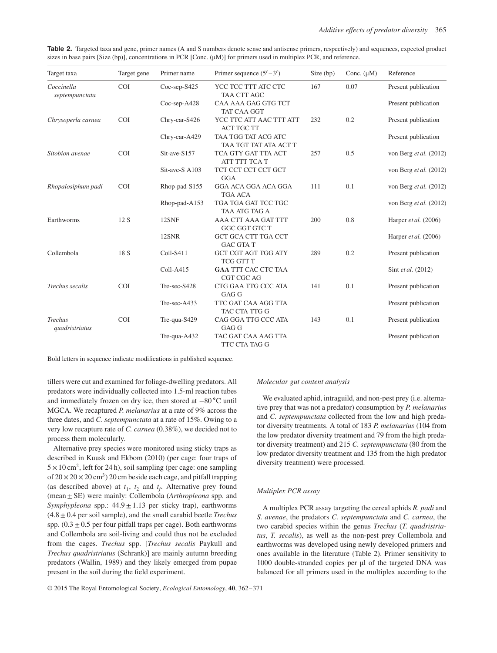|  | <b>Table 2.</b> Targeted taxa and gene, primer names (A and S numbers denote sense and antisense primers, respectively) and sequences, expected product |  |  |  |
|--|---------------------------------------------------------------------------------------------------------------------------------------------------------|--|--|--|
|  | sizes in base pairs [Size (bp)], concentrations in PCR [Conc. $(\mu M)$ ] for primers used in multiplex PCR, and reference.                             |  |  |  |

| Target taxa                      | Target gene | Primer name        | Primer sequence $(5'$ –3')                     | Size (bp) | Conc. $(\mu M)$ | Reference                     |
|----------------------------------|-------------|--------------------|------------------------------------------------|-----------|-----------------|-------------------------------|
| Coccinella<br>septempunctata     | <b>COI</b>  | $Coc$ -sep- $S425$ | YCC TCC TTT ATC CTC<br>TAA CTT AGC             | 167       | 0.07            | Present publication           |
|                                  |             | Coc-sep-A428       | CAA AAA GAG GTG TCT<br>TAT CAA GGT             |           |                 | Present publication           |
| Chrysoperla carnea               | <b>COI</b>  | Chry-car-S426      | YCC TTC ATT AAC TTT ATT<br><b>ACT TGC TT</b>   | 232       | 0.2             | Present publication           |
|                                  |             | Chry-car-A429      | TAA TGG TAT ACG ATC<br>TAA TGT TAT ATA ACT T   |           |                 | Present publication           |
| Sitobion avenae                  | <b>COI</b>  | Sit-ave-S157       | TCA GTY GAT TTA ACT<br>ATT TTT TCA T           | 257       | 0.5             | von Berg et al. (2012)        |
|                                  |             | Sit-ave-S A103     | TCT CCT CCT CCT GCT<br><b>GGA</b>              |           |                 | von Berg et al. $(2012)$      |
| Rhopalosiphum padi               | <b>COI</b>  | Rhop-pad-S155      | GGA ACA GGA ACA GGA<br>TGA ACA                 | 111       | 0.1             | von Berg et al. (2012)        |
|                                  |             | Rhop-pad-A153      | TGA TGA GAT TCC TGC<br>TAA ATG TAG A           |           |                 | von Berg et al. (2012)        |
| Earthworms                       | 12 S        | 12SNF              | AAA CTT AAA GAT TTT<br>GGC GGT GTC T           | 200       | 0.8             | Harper et al. (2006)          |
|                                  |             | 12SNR              | <b>GCT GCA CTT TGA CCT</b><br><b>GAC GTA T</b> |           |                 | Harper <i>et al.</i> $(2006)$ |
| Collembola                       | 18 S        | Coll-S411          | <b>GCT CGT AGT TGG ATY</b><br>TCG GTT T        | 289       | 0.2             | Present publication           |
|                                  |             | Coll-A415          | <b>GAA TTT CAC CTC TAA</b><br>CGT CGC AG       |           |                 | Sint et al. (2012)            |
| Trechus secalis                  | <b>COI</b>  | Tre-sec-S428       | CTG GAA TTG CCC ATA<br>GAG G                   | 141       | 0.1             | Present publication           |
|                                  |             | Tre-sec-A433       | TTC GAT CAA AGG TTA<br>TAC CTA TTG G           |           |                 | Present publication           |
| <b>Trechus</b><br>quadristriatus | <b>COI</b>  | Tre-qua-S429       | CAG GGA TTG CCC ATA<br>GAG G                   | 143       | 0.1             | Present publication           |
|                                  |             | Tre-qua-A432       | TAC GAT CAA AAG TTA<br>TTC CTA TAG G           |           |                 | Present publication           |

Bold letters in sequence indicate modifications in published sequence.

tillers were cut and examined for foliage-dwelling predators. All predators were individually collected into 1.5-ml reaction tubes and immediately frozen on dry ice, then stored at −80 ∘C until MGCA. We recaptured *P. melanarius* at a rate of 9% across the three dates, and *C. septempunctata* at a rate of 15%. Owing to a very low recapture rate of *C. carnea* (0.38%), we decided not to process them molecularly.

Alternative prey species were monitored using sticky traps as described in Kuusk and Ekbom (2010) (per cage: four traps of  $5 \times 10$  cm<sup>2</sup>, left for 24 h), soil sampling (per cage: one sampling of  $20 \times 20 \times 20$  cm<sup>3</sup>) 20 cm beside each cage, and pitfall trapping (as described above) at  $t_1$ ,  $t_2$  and  $t_f$ . Alternative prey found (mean±SE) were mainly: Collembola (*Arthropleona* spp. and *Symphypleona* spp.: 44.9±1.13 per sticky trap), earthworms (4.8±0.4 per soil sample), and the small carabid beetle *Trechus* spp.  $(0.3 \pm 0.5$  per four pitfall traps per cage). Both earthworms and Collembola are soil-living and could thus not be excluded from the cages. *Trechus* spp. [*Trechus secalis* Paykull and *Trechus quadristriatus* (Schrank)] are mainly autumn breeding predators (Wallin, 1989) and they likely emerged from pupae present in the soil during the field experiment.

### *Molecular gut content analysis*

We evaluated aphid, intraguild, and non-pest prey (i.e. alternative prey that was not a predator) consumption by *P. melanarius* and *C. septempunctata* collected from the low and high predator diversity treatments. A total of 183 *P. melanarius* (104 from the low predator diversity treatment and 79 from the high predator diversity treatment) and 215 *C. septempunctata* (80 from the low predator diversity treatment and 135 from the high predator diversity treatment) were processed.

## *Multiplex PCR assay*

A multiplex PCR assay targeting the cereal aphids *R. padi* and *S. avenae*, the predators *C. septempunctata* and *C. carnea*, the two carabid species within the genus *Trechus* (*T. quadristriatus*, *T. secalis*), as well as the non-pest prey Collembola and earthworms was developed using newly developed primers and ones available in the literature (Table 2). Primer sensitivity to 1000 double-stranded copies per μl of the targeted DNA was balanced for all primers used in the multiplex according to the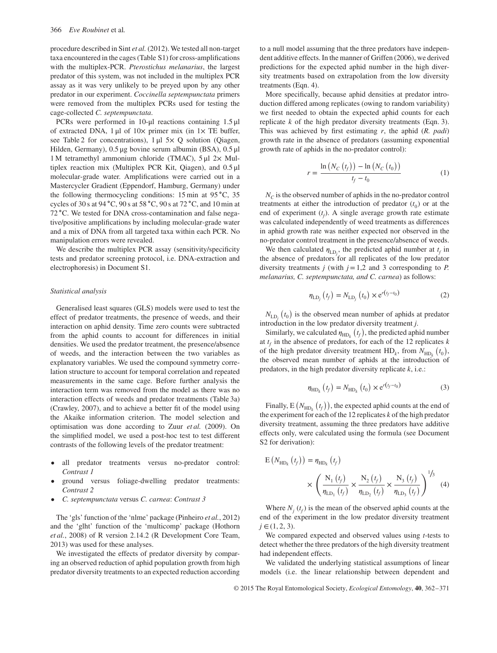procedure described in Sint *et al.* (2012). We tested all non-target taxa encountered in the cages (Table S1) for cross-amplifications with the multiplex-PCR. *Pterostichus melanarius*, the largest predator of this system, was not included in the multiplex PCR assay as it was very unlikely to be preyed upon by any other predator in our experiment. *Coccinella septempunctata* primers were removed from the multiplex PCRs used for testing the cage-collected *C. septempunctata*.

PCRs were performed in 10-μl reactions containing 1.5 μl of extracted DNA,  $1 \mu l$  of  $10 \times$  primer mix (in  $1 \times$  TE buffer, see Table 2 for concentrations), 1 μl 5× Q solution (Qiagen, Hilden, Germany), 0.5 μg bovine serum albumin (BSA), 0.5 μl 1 M tetramethyl ammonium chloride (TMAC), 5 μl 2× Multiplex reaction mix (Multiplex PCR Kit, Qiagen), and 0.5 μl molecular-grade water. Amplifications were carried out in a Mastercycler Gradient (Eppendorf, Hamburg, Germany) under the following thermocycling conditions: 15 min at 95 ∘C, 35 cycles of 30 s at 94 ∘C, 90 s at 58 ∘C, 90 s at 72 ∘C, and 10 min at 72 ∘C. We tested for DNA cross-contamination and false negative/positive amplifications by including molecular-grade water and a mix of DNA from all targeted taxa within each PCR. No manipulation errors were revealed.

We describe the multiplex PCR assay (sensitivity/specificity tests and predator screening protocol, i.e. DNA-extraction and electrophoresis) in Document S1.

## *Statistical analysis*

Generalised least squares (GLS) models were used to test the effect of predator treatments, the presence of weeds, and their interaction on aphid density. Time zero counts were subtracted from the aphid counts to account for differences in initial densities. We used the predator treatment, the presence/absence of weeds, and the interaction between the two variables as explanatory variables. We used the compound symmetry correlation structure to account for temporal correlation and repeated measurements in the same cage. Before further analysis the interaction term was removed from the model as there was no interaction effects of weeds and predator treatments (Table 3a) (Crawley, 2007), and to achieve a better fit of the model using the Akaike information criterion. The model selection and optimisation was done according to Zuur *et al.* (2009). On the simplified model, we used a post-hoc test to test different contrasts of the following levels of the predator treatment:

- all predator treatments versus no-predator control: *Contrast 1*
- ground versus foliage-dwelling predator treatments: *Contrast 2*
- *C. septempunctata* versus *C. carnea*: *Contrast 3*

The 'gls' function of the 'nlme' package (Pinheiro *et al.*, 2012) and the 'glht' function of the 'multicomp' package (Hothorn *et al.*, 2008) of R version 2.14.2 (R Development Core Team, 2013) was used for these analyses.

We investigated the effects of predator diversity by comparing an observed reduction of aphid population growth from high predator diversity treatments to an expected reduction according

to a null model assuming that the three predators have independent additive effects. In the manner of Griffen (2006), we derived predictions for the expected aphid number in the high diversity treatments based on extrapolation from the low diversity treatments (Eqn. 4).

More specifically, because aphid densities at predator introduction differed among replicates (owing to random variability) we first needed to obtain the expected aphid counts for each replicate *k* of the high predator diversity treatments (Eqn. 3). This was achieved by first estimating *r*, the aphid (*R. padi*) growth rate in the absence of predators (assuming exponential growth rate of aphids in the no-predator control):

$$
r = \frac{\ln(N_C(t_f)) - \ln(N_C(t_0))}{t_f - t_0}
$$
 (1)

 $N_c$  is the observed number of aphids in the no-predator control treatments at either the introduction of predator  $(t_0)$  or at the end of experiment  $(t_f)$ . A single average growth rate estimate was calculated independently of weed treatments as differences in aphid growth rate was neither expected nor observed in the no-predator control treatment in the presence/absence of weeds.

We then calculated  $\eta_{LD_j}$ , the predicted aphid number at  $t_f$  in the absence of predators for all replicates of the low predator diversity treatments  $j$  (with  $j = 1,2$  and 3 corresponding to  $P$ . *melanarius, C. septempunctata, and C. carnea*) as follows:

$$
\eta_{\text{LD}_j}\left(t_f\right) = N_{\text{LD}_j}\left(t_0\right) \times e^{r\left(t_f - t_0\right)}\tag{2}
$$

 $N_{LD_j}(t_0)$  is the observed mean number of aphids at predator introduction in the low predator diversity treatment *j*.

Similarly, we calculated  $\eta_{HD_k}(t_f)$ , the predicted aphid number at  $t_f$  in the absence of predators, for each of the 12 replicates  $k$ of the high predator diversity treatment  $HD_k$ , from  $N_{HD_k}(t_0)$ , the observed mean number of aphids at the introduction of predators, in the high predator diversity replicate *k*, i.e.:

$$
\eta_{HD_k}(t_f) = N_{HD_k}(t_0) \times e^{r(t_f - t_0)}
$$
\n(3)

Finally,  $E(N_{HD_k}(t_f))$ , the expected aphid counts at the end of the experiment for each of the 12 replicates *k* of the high predator diversity treatment, assuming the three predators have additive effects only, were calculated using the formula (see Document S2 for derivation):

$$
E(N_{HD_k}(t_f)) = \eta_{HD_k}(t_f)
$$
  
 
$$
\times \left(\frac{N_1(t_f)}{\eta_{LD_1}(t_f)} \times \frac{N_2(t_f)}{\eta_{LD_2}(t_f)} \times \frac{N_3(t_f)}{\eta_{LD_3}(t_f)}\right)^{1/3}
$$
 (4)

Where  $N_i(t_f)$  is the mean of the observed aphid counts at the end of the experiment in the low predator diversity treatment  $j \in (1, 2, 3)$ .

We compared expected and observed values using *t*-tests to detect whether the three predators of the high diversity treatment had independent effects.

We validated the underlying statistical assumptions of linear models (i.e. the linear relationship between dependent and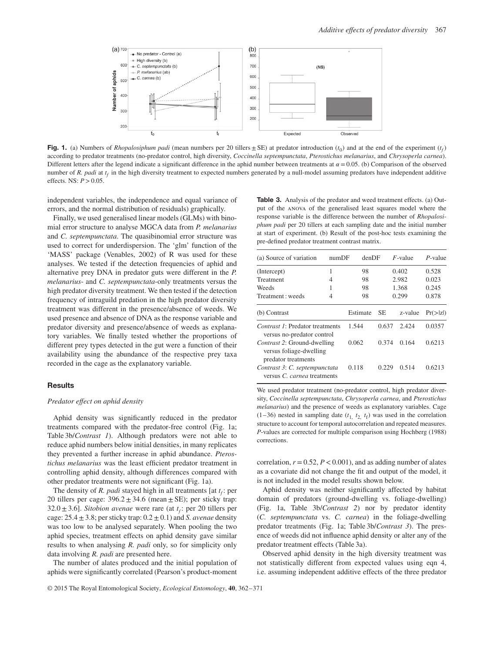

**Fig. 1.** (a) Numbers of *Rhopalosiphum padi* (mean numbers per 20 tillers  $\pm$  SE) at predator introduction ( $t_0$ ) and at the end of the experiment ( $t_f$ ) according to predator treatments (no-predator control, high diversity, *Coccinella septempunctata*, *Pterostichus melanarius*, and *Chrysoperla carnea*). Different letters after the legend indicate a significant difference in the aphid number between treatments at  $\alpha = 0.05$ . (b) Comparison of the observed number of *R. padi* at  $t_f$  in the high diversity treatment to expected numbers generated by a null-model assuming predators have independent additive effects. NS: *P>*0.05.

independent variables, the independence and equal variance of errors, and the normal distribution of residuals) graphically.

Finally, we used generalised linear models (GLMs) with binomial error structure to analyse MGCA data from *P. melanarius* and *C. septempunctata*. The quasibinomial error structure was used to correct for underdispersion. The 'glm' function of the 'MASS' package (Venables, 2002) of R was used for these analyses. We tested if the detection frequencies of aphid and alternative prey DNA in predator guts were different in the *P. melanarius*- and *C. septempunctata*-only treatments versus the high predator diversity treatment. We then tested if the detection frequency of intraguild predation in the high predator diversity treatment was different in the presence/absence of weeds. We used presence and absence of DNA as the response variable and predator diversity and presence/absence of weeds as explanatory variables. We finally tested whether the proportions of different prey types detected in the gut were a function of their availability using the abundance of the respective prey taxa recorded in the cage as the explanatory variable.

## **Results**

## *Predator effect on aphid density*

Aphid density was significantly reduced in the predator treatments compared with the predator-free control (Fig. 1a; Table 3b/*Contrast 1*). Although predators were not able to reduce aphid numbers below initial densities, in many replicates they prevented a further increase in aphid abundance. *Pterostichus melanarius* was the least efficient predator treatment in controlling aphid density, although differences compared with other predator treatments were not significant (Fig. 1a).

The density of *R. padi* stayed high in all treatments [at  $t_f$ : per 20 tillers per cage:  $396.2 \pm 34.6$  (mean  $\pm$  SE); per sticky trap: 32.0 $\pm$ 3.6]. *Sitobion avenae* were rare (at  $t_f$ : per 20 tillers per cage:  $25.4 \pm 3.8$ ; per sticky trap:  $0.2 \pm 0.1$ ) and *S. avenae* density was too low to be analysed separately. When pooling the two aphid species, treatment effects on aphid density gave similar results to when analysing *R. padi* only, so for simplicity only data involving *R. padi* are presented here.

The number of alates produced and the initial population of aphids were significantly correlated (Pearson's product-moment

**Table 3.** Analysis of the predator and weed treatment effects. (a) Output of the anova of the generalised least squares model where the response variable is the difference between the number of *Rhopalosiphum padi* per 20 tillers at each sampling date and the initial number at start of experiment. (b) Result of the post-hoc tests examining the pre-defined predator treatment contrast matrix.

| (a) Source of variation                                                       | numDF | denDF    |           | $F$ -value | $P$ -value |
|-------------------------------------------------------------------------------|-------|----------|-----------|------------|------------|
| (Intercept)                                                                   | 1     | 98       |           | 0.402      | 0.528      |
| Treatment                                                                     | 4     | 98       |           | 2.982      | 0.023      |
| Weeds                                                                         | 1     | 98       |           | 1.368      | 0.245      |
| Treatment : weeds                                                             | 4     | 98       |           | 0.299      | 0.878      |
| (b) Contrast                                                                  |       | Estimate | <b>SE</b> | z-value    | Pr(> z )   |
| <i>Contrast 1:</i> Predator treatments<br>versus no-predator control          |       | 1.544    | 0.637     | 2.424      | 0.0357     |
| Contrast 2: Ground-dwelling<br>versus foliage-dwelling<br>predator treatments |       | 0.062    | 0.374     | 0.164      | 0.6213     |
| Contrast 3: C. septempunctata<br>versus C, carnea treatments                  |       | 0.118    | 0.229     | 0.514      | 0.6213     |

We used predator treatment (no-predator control, high predator diversity, *Coccinella septempunctata*, *Chrysoperla carnea*, and *Pterostichus melanarius*) and the presence of weeds as explanatory variables. Cage (1–36) nested in sampling date  $(t_1, t_2, t_f)$  was used in the correlation structure to account for temporal autocorrelation and repeated measures. *P*-values are corrected for multiple comparison using Hochberg (1988) corrections.

correlation,  $r = 0.52$ ,  $P < 0.001$ ), and as adding number of alates as a covariate did not change the fit and output of the model, it is not included in the model results shown below.

Aphid density was neither significantly affected by habitat domain of predators (ground-dwelling vs. foliage-dwelling) (Fig. 1a, Table 3b/*Contrast 2*) nor by predator identity (*C. septempunctata* vs. *C. carnea*) in the foliage-dwelling predator treatments (Fig. 1a; Table 3b/*Contrast 3*). The presence of weeds did not influence aphid density or alter any of the predator treatment effects (Table 3a).

Observed aphid density in the high diversity treatment was not statistically different from expected values using eqn 4, i.e. assuming independent additive effects of the three predator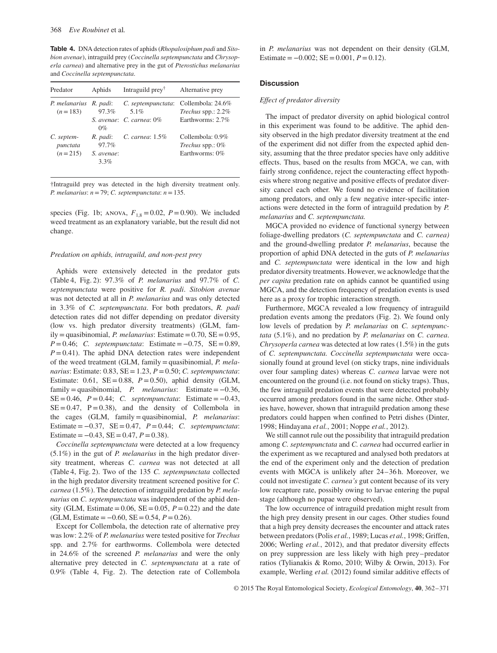**Table 4.** DNA detection rates of aphids (*Rhopalosiphum padi* and *Sitobion avenae*), intraguild prey (*Coccinella septempunctata* and *Chrysoperla carnea*) and alternative prey in the gut of *Pterostichus melanarius* and *Coccinella septempunctata*.

| Predator                            | Aphids                                     | Intraguild prey <sup>†</sup>                           | Alternative prey                                               |
|-------------------------------------|--------------------------------------------|--------------------------------------------------------|----------------------------------------------------------------|
| P. melanarius<br>$(n=183)$          | R. padi:<br>97.3%<br>$0\%$                 | C. septempunctata:<br>5.1%<br>S. avenae: C. carnea: 0% | Collembola: 24.6%<br>Trechus spp.: $2.2\%$<br>Earthworms: 2.7% |
| C. septem-<br>punctata<br>$(n=215)$ | R. padi:<br>97.7%<br>S. avenae:<br>$3.3\%$ | C. carnea: 1.5%                                        | Collembola: 0.9%<br>Trechus spp.: 0%<br>Earthworms: 0%         |

†Intraguild prey was detected in the high diversity treatment only. *P. melanarius*: *n*=79; *C. septempunctata*: *n*=135.

species (Fig. 1b; ANOVA,  $F_{1,8} = 0.02$ ,  $P = 0.90$ ). We included weed treatment as an explanatory variable, but the result did not change.

#### *Predation on aphids, intraguild, and non-pest prey*

Aphids were extensively detected in the predator guts (Table 4, Fig. 2): 97.3% of *P. melanarius* and 97.7% of *C. septempunctata* were positive for *R. padi*. *Sitobion avenae* was not detected at all in *P. melanarius* and was only detected in 3.3% of *C. septempunctata*. For both predators, *R. padi* detection rates did not differ depending on predator diversity (low vs. high predator diversity treatments) (GLM, family=quasibinomial, *P. melanarius*: Estimate=0.70, SE=0.95, *P* = 0.46; *C. septempunctata*: Estimate = −0.75, SE = 0.89,  $P = 0.41$ ). The aphid DNA detection rates were independent of the weed treatment (GLM, family=quasibinomial, *P. melanarius*: Estimate: 0.83, SE=1.23, *P*=0.50; *C. septempunctata*: Estimate: 0.61,  $SE = 0.88$ ,  $P = 0.50$ ), aphid density (GLM, family=quasibinomial, *P. melanarius*: Estimate= −0.36,  $SE = 0.46$ ,  $P = 0.44$ ; *C. septempunctata*: Estimate =  $-0.43$ ,  $SE = 0.47$ ,  $P = 0.38$ ), and the density of Collembola in the cages (GLM, family=quasibinomial, *P. melanarius*: Estimate= −0.37, SE=0.47, *P*=0.44; *C. septempunctata*: Estimate =  $-0.43$ , SE = 0.47, *P* = 0.38).

*Coccinella septempunctata* were detected at a low frequency (5.1%) in the gut of *P. melanarius* in the high predator diversity treatment, whereas *C. carnea* was not detected at all (Table 4, Fig. 2). Two of the 135 *C. septempunctata* collected in the high predator diversity treatment screened positive for *C. carnea* (1.5%). The detection of intraguild predation by *P. melanarius* on *C. septempunctata* was independent of the aphid density (GLM, Estimate =  $0.06$ , SE =  $0.05$ ,  $P = 0.22$ ) and the date (GLM, Estimate= −0.60, SE=0.54, *P*=0.26).

Except for Collembola, the detection rate of alternative prey was low: 2.2% of *P. melanarius* were tested positive for *Trechus* spp. and 2.7% for earthworms. Collembola were detected in 24.6% of the screened *P. melanarius* and were the only alternative prey detected in *C. septempunctata* at a rate of 0.9% (Table 4, Fig. 2). The detection rate of Collembola in *P. melanarius* was not dependent on their density (GLM, Estimate =  $-0.002$ ; SE = 0.001,  $P = 0.12$ ).

# **Discussion**

## *Effect of predator diversity*

The impact of predator diversity on aphid biological control in this experiment was found to be additive. The aphid density observed in the high predator diversity treatment at the end of the experiment did not differ from the expected aphid density, assuming that the three predator species have only additive effects. Thus, based on the results from MGCA, we can, with fairly strong confidence, reject the counteracting effect hypothesis where strong negative and positive effects of predator diversity cancel each other. We found no evidence of facilitation among predators, and only a few negative inter-specific interactions were detected in the form of intraguild predation by *P. melanarius* and *C. septempunctata.*

MGCA provided no evidence of functional synergy between foliage-dwelling predators (*C. septempunctata* and *C. carnea)* and the ground-dwelling predator *P. melanarius*, because the proportion of aphid DNA detected in the guts of *P. melanarius* and *C. septempunctata* were identical in the low and high predator diversity treatments. However, we acknowledge that the *per capita* predation rate on aphids cannot be quantified using MGCA, and the detection frequency of predation events is used here as a proxy for trophic interaction strength.

Furthermore, MGCA revealed a low frequency of intraguild predation events among the predators (Fig. 2). We found only low levels of predation by *P. melanarius* on *C. septempunctata* (5.1%), and no predation by *P. melanarius* on *C. carnea*. *Chrysoperla carnea* was detected at low rates (1.5%) in the guts of *C. septempunctata. Coccinella septempunctata* were occasionally found at ground level (on sticky traps, nine individuals over four sampling dates) whereas *C. carnea* larvae were not encountered on the ground (i.e. not found on sticky traps). Thus, the few intraguild predation events that were detected probably occurred among predators found in the same niche. Other studies have, however, shown that intraguild predation among these predators could happen when confined to Petri dishes (Dinter, 1998; Hindayana *et al.*, 2001; Noppe *et al.*, 2012).

We still cannot rule out the possibility that intraguild predation among *C. septempunctata* and *C. carnea* had occurred earlier in the experiment as we recaptured and analysed both predators at the end of the experiment only and the detection of predation events with MGCA is unlikely after 24–36 h. Moreover, we could not investigate *C. carnea's* gut content because of its very low recapture rate, possibly owing to larvae entering the pupal stage (although no pupae were observed).

The low occurrence of intraguild predation might result from the high prey density present in our cages. Other studies found that a high prey density decreases the encounter and attack rates between predators (Polis *et al.*, 1989; Lucas *et al.*, 1998; Griffen, 2006; Werling *et al.*, 2012), and that predator diversity effects on prey suppression are less likely with high prey–predator ratios (Tylianakis & Romo, 2010; Wilby & Orwin, 2013). For example, Werling *et al.* (2012) found similar additive effects of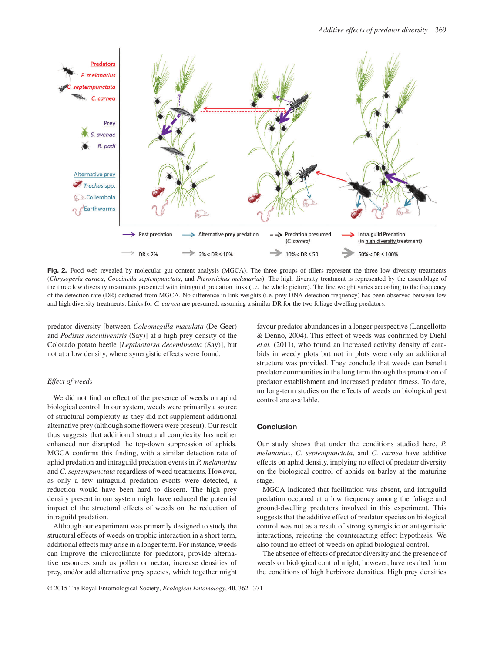

Fig. 2. Food web revealed by molecular gut content analysis (MGCA). The three groups of tillers represent the three low diversity treatments (*Chrysoperla carnea*, *Coccinella septempunctata*, and *Pterostichus melanarius*). The high diversity treatment is represented by the assemblage of the three low diversity treatments presented with intraguild predation links (i.e. the whole picture). The line weight varies according to the frequency of the detection rate (DR) deducted from MGCA. No difference in link weights (i.e. prey DNA detection frequency) has been observed between low and high diversity treatments. Links for *C. carnea* are presumed, assuming a similar DR for the two foliage dwelling predators.

predator diversity [between *Coleomegilla maculata* (De Geer) and *Podisus maculiventris* (Say)] at a high prey density of the Colorado potato beetle [*Leptinotarsa decemlineata* (Say)], but not at a low density, where synergistic effects were found.

### *Effect of weeds*

We did not find an effect of the presence of weeds on aphid biological control. In our system, weeds were primarily a source of structural complexity as they did not supplement additional alternative prey (although some flowers were present). Our result thus suggests that additional structural complexity has neither enhanced nor disrupted the top-down suppression of aphids. MGCA confirms this finding, with a similar detection rate of aphid predation and intraguild predation events in *P. melanarius* and *C. septempunctata* regardless of weed treatments. However, as only a few intraguild predation events were detected, a reduction would have been hard to discern. The high prey density present in our system might have reduced the potential impact of the structural effects of weeds on the reduction of intraguild predation.

Although our experiment was primarily designed to study the structural effects of weeds on trophic interaction in a short term, additional effects may arise in a longer term. For instance, weeds can improve the microclimate for predators, provide alternative resources such as pollen or nectar, increase densities of prey, and/or add alternative prey species, which together might favour predator abundances in a longer perspective (Langellotto & Denno, 2004). This effect of weeds was confirmed by Diehl *et al.* (2011), who found an increased activity density of carabids in weedy plots but not in plots were only an additional structure was provided. They conclude that weeds can benefit predator communities in the long term through the promotion of predator establishment and increased predator fitness. To date, no long-term studies on the effects of weeds on biological pest control are available.

# **Conclusion**

Our study shows that under the conditions studied here, *P. melanarius*, *C. septempunctata*, and *C. carnea* have additive effects on aphid density, implying no effect of predator diversity on the biological control of aphids on barley at the maturing stage.

MGCA indicated that facilitation was absent, and intraguild predation occurred at a low frequency among the foliage and ground-dwelling predators involved in this experiment. This suggests that the additive effect of predator species on biological control was not as a result of strong synergistic or antagonistic interactions, rejecting the counteracting effect hypothesis. We also found no effect of weeds on aphid biological control.

The absence of effects of predator diversity and the presence of weeds on biological control might, however, have resulted from the conditions of high herbivore densities. High prey densities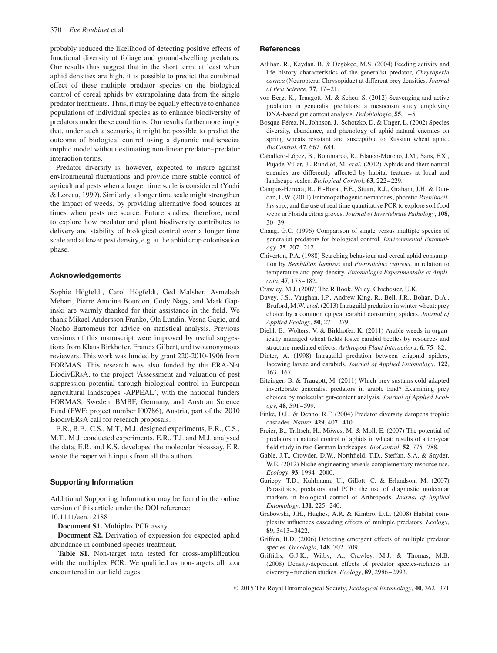probably reduced the likelihood of detecting positive effects of functional diversity of foliage and ground-dwelling predators. Our results thus suggest that in the short term, at least when aphid densities are high, it is possible to predict the combined effect of these multiple predator species on the biological control of cereal aphids by extrapolating data from the single predator treatments. Thus, it may be equally effective to enhance populations of individual species as to enhance biodiversity of predators under these conditions. Our results furthermore imply that, under such a scenario, it might be possible to predict the outcome of biological control using a dynamic multispecies trophic model without estimating non-linear predator–predator interaction terms.

Predator diversity is, however, expected to insure against environmental fluctuations and provide more stable control of agricultural pests when a longer time scale is considered (Yachi & Loreau, 1999). Similarly, a longer time scale might strengthen the impact of weeds, by providing alternative food sources at times when pests are scarce. Future studies, therefore, need to explore how predator and plant biodiversity contributes to delivery and stability of biological control over a longer time scale and at lower pest density, e.g. at the aphid crop colonisation phase.

## **Acknowledgements**

Sophie Högfeldt, Carol Högfeldt, Ged Malsher, Asmelash Mehari, Pierre Antoine Bourdon, Cody Nagy, and Mark Gapinski are warmly thanked for their assistance in the field. We thank Mikael Andersson Franko, Ola Lundin, Vesna Gagic, and Nacho Bartomeus for advice on statistical analysis. Previous versions of this manuscript were improved by useful suggestions from Klaus Birkhofer, Francis Gilbert, and two anonymous reviewers. This work was funded by grant 220-2010-1906 from FORMAS. This research was also funded by the ERA-Net BiodivERsA, to the project 'Assessment and valuation of pest suppression potential through biological control in European agricultural landscapes -APPEAL', with the national funders FORMAS, Sweden, BMBF, Germany, and Austrian Science Fund (FWF; project number I00786), Austria, part of the 2010 BiodivERsA call for research proposals.

E.R., B.E., C.S., M.T., M.J. designed experiments, E.R., C.S., M.T., M.J. conducted experiments, E.R., T.J. and M.J. analysed the data, E.R. and K.S. developed the molecular bioassay, E.R. wrote the paper with inputs from all the authors.

### **Supporting Information**

Additional Supporting Information may be found in the online version of this article under the DOI reference:

10.1111/een.12188

**Document S1.** Multiplex PCR assay.

**Document S2.** Derivation of expression for expected aphid abundance in combined species treatment.

**Table S1.** Non-target taxa tested for cross-amplification with the multiplex PCR. We qualified as non-targets all taxa encountered in our field cages.

## **References**

- Atlihan, R., Kaydan, B. & Özgökçe, M.S. (2004) Feeding activity and life history characteristics of the generalist predator, *Chrysoperla carnea* (Neuroptera: Chrysopidae) at different prey densities. *Journal of Pest Science*, **77**, 17–21.
- von Berg, K., Traugott, M. & Scheu, S. (2012) Scavenging and active predation in generalist predators: a mesocosm study employing DNA-based gut content analysis. *Pedobiologia*, **55**, 1–5.
- Bosque-Pérez, N., Johnson, J., Schotzko, D. & Unger, L. (2002) Species diversity, abundance, and phenology of aphid natural enemies on spring wheats resistant and susceptible to Russian wheat aphid. *BioControl*, **47**, 667–684.
- Caballero-López, B., Bommarco, R., Blanco-Moreno, J.M., Sans, F.X., Pujade-Villar, J., Rundlöf, M. *et al.* (2012) Aphids and their natural enemies are differently affected by habitat features at local and landscape scales. *Biological Control*, **63**, 222–229.
- Campos-Herrera, R., El-Borai, F.E., Stuart, R.J., Graham, J.H. & Duncan, L.W. (2011) Entomopathogenic nematodes, phoretic *Paenibacillus* spp., and the use of real time quantitative PCR to explore soil food webs in Florida citrus groves. *Journal of Invertebrate Pathology*, **108**, 30–39.
- Chang, G.C. (1996) Comparison of single versus multiple species of generalist predators for biological control. *Environmental Entomology*, **25**, 207–212.
- Chiverton, P.A. (1988) Searching behaviour and cereal aphid consumption by *Bembidion lampros* and *Pterostichus cupreus*, in relation to temperature and prey density. *Entomologia Experimentalis et Applicata*, **47**, 173–182.
- Crawley, M.J. (2007) The R Book. Wiley, Chichester, U.K.
- Davey, J.S., Vaughan, I.P., Andrew King, R., Bell, J.R., Bohan, D.A., Bruford, M.W. *et al.* (2013) Intraguild predation in winter wheat: prey choice by a common epigeal carabid consuming spiders. *Journal of Applied Ecology*, **50**, 271–279.
- Diehl, E., Wolters, V. & Birkhofer, K. (2011) Arable weeds in organically managed wheat fields foster carabid beetles by resource- and structure-mediated effects. *Arthropod-Plant Interactions*, **6**, 75–82.
- Dinter, A. (1998) Intraguild predation between erigonid spiders, lacewing larvae and carabids. *Journal of Applied Entomology*, **122**, 163–167.
- Eitzinger, B. & Traugott, M. (2011) Which prey sustains cold-adapted invertebrate generalist predators in arable land? Examining prey choices by molecular gut-content analysis. *Journal of Applied Ecology*, **48**, 591–599.
- Finke, D.L. & Denno, R.F. (2004) Predator diversity dampens trophic cascades. *Nature*, **429**, 407–410.
- Freier, B., Triltsch, H., Möwes, M. & Moll, E. (2007) The potential of predators in natural control of aphids in wheat: results of a ten-year field study in two German landscapes. *BioControl*, **52**, 775–788.
- Gable, J.T., Crowder, D.W., Northfield, T.D., Steffan, S.A. & Snyder, W.E. (2012) Niche engineering reveals complementary resource use. *Ecology*, **93**, 1994–2000.
- Gariepy, T.D., Kuhlmann, U., Gillott, C. & Erlandson, M. (2007) Parasitoids, predators and PCR: the use of diagnostic molecular markers in biological control of Arthropods. *Journal of Applied Entomology*, **131**, 225–240.
- Grabowski, J.H., Hughes, A.R. & Kimbro, D.L. (2008) Habitat complexity influences cascading effects of multiple predators. *Ecology*, **89**, 3413–3422.
- Griffen, B.D. (2006) Detecting emergent effects of multiple predator species. *Oecologia*, **148**, 702–709.
- Griffiths, G.J.K., Wilby, A., Crawley, M.J. & Thomas, M.B. (2008) Density-dependent effects of predator species-richness in diversity– function studies. *Ecology*, **89**, 2986–2993.